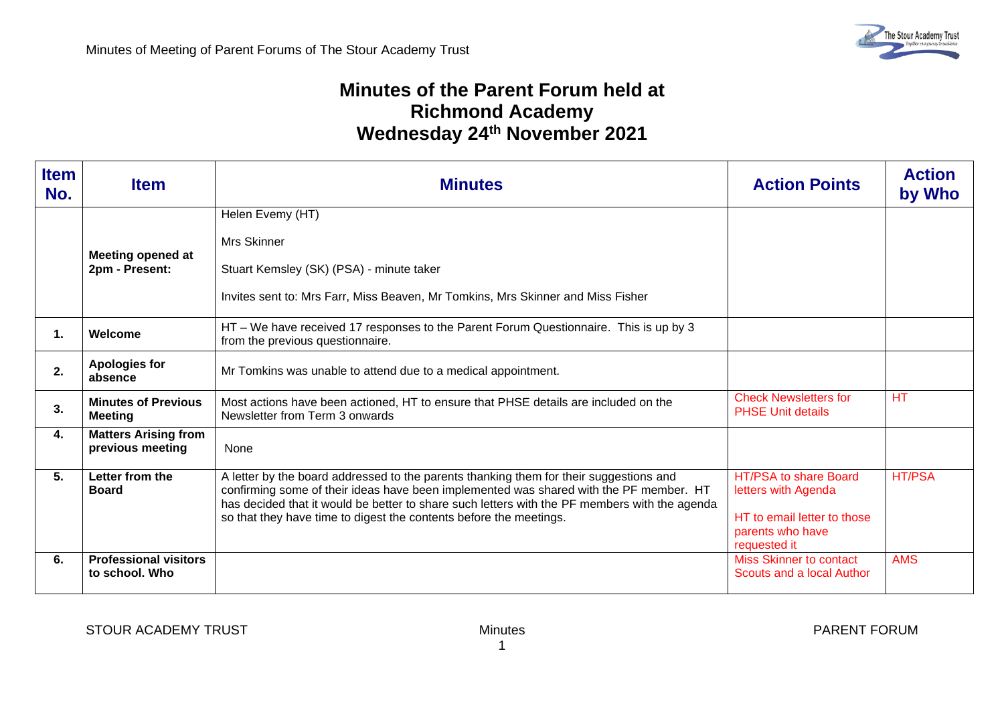## **Minutes of the Parent Forum held at Richmond Academy Wednesday 24 th November 2021**

| <b>Item</b><br>No. | <b>Item</b>                                     | <b>Minutes</b>                                                                                                                                                                                                                                                                                                                                          | <b>Action Points</b>                                                                                            | <b>Action</b><br>by Who |
|--------------------|-------------------------------------------------|---------------------------------------------------------------------------------------------------------------------------------------------------------------------------------------------------------------------------------------------------------------------------------------------------------------------------------------------------------|-----------------------------------------------------------------------------------------------------------------|-------------------------|
|                    | <b>Meeting opened at</b><br>2pm - Present:      | Helen Evemy (HT)<br><b>Mrs Skinner</b><br>Stuart Kemsley (SK) (PSA) - minute taker<br>Invites sent to: Mrs Farr, Miss Beaven, Mr Tomkins, Mrs Skinner and Miss Fisher                                                                                                                                                                                   |                                                                                                                 |                         |
| 1.                 | Welcome                                         | HT - We have received 17 responses to the Parent Forum Questionnaire. This is up by 3<br>from the previous questionnaire.                                                                                                                                                                                                                               |                                                                                                                 |                         |
| 2.                 | <b>Apologies for</b><br>absence                 | Mr Tomkins was unable to attend due to a medical appointment.                                                                                                                                                                                                                                                                                           |                                                                                                                 |                         |
| 3.                 | <b>Minutes of Previous</b><br><b>Meeting</b>    | Most actions have been actioned, HT to ensure that PHSE details are included on the<br>Newsletter from Term 3 onwards                                                                                                                                                                                                                                   | <b>Check Newsletters for</b><br><b>PHSE Unit details</b>                                                        | HT                      |
| 4.                 | <b>Matters Arising from</b><br>previous meeting | None                                                                                                                                                                                                                                                                                                                                                    |                                                                                                                 |                         |
| 5.                 | Letter from the<br><b>Board</b>                 | A letter by the board addressed to the parents thanking them for their suggestions and<br>confirming some of their ideas have been implemented was shared with the PF member. HT<br>has decided that it would be better to share such letters with the PF members with the agenda<br>so that they have time to digest the contents before the meetings. | HT/PSA to share Board<br>letters with Agenda<br>HT to email letter to those<br>parents who have<br>requested it | <b>HT/PSA</b>           |
| 6.                 | <b>Professional visitors</b><br>to school. Who  |                                                                                                                                                                                                                                                                                                                                                         | <b>Miss Skinner to contact</b><br>Scouts and a local Author                                                     | <b>AMS</b>              |